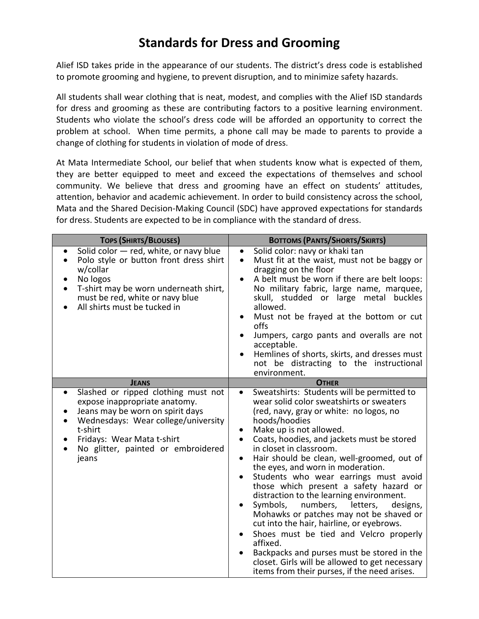## **Standards for Dress and Grooming**

Alief ISD takes pride in the appearance of our students. The district's dress code is established to promote grooming and hygiene, to prevent disruption, and to minimize safety hazards.

All students shall wear clothing that is neat, modest, and complies with the Alief ISD standards for dress and grooming as these are contributing factors to a positive learning environment. Students who violate the school's dress code will be afforded an opportunity to correct the problem at school. When time permits, a phone call may be made to parents to provide a change of clothing for students in violation of mode of dress.

At Mata Intermediate School, our belief that when students know what is expected of them, they are better equipped to meet and exceed the expectations of themselves and school community. We believe that dress and grooming have an effect on students' attitudes, attention, behavior and academic achievement. In order to build consistency across the school, Mata and the Shared Decision-Making Council (SDC) have approved expectations for standards for dress. Students are expected to be in compliance with the standard of dress.

| <b>TOPS (SHIRTS/BLOUSES)</b>                                                                                                                                                                                                                                      | <b>BOTTOMS (PANTS/SHORTS/SKIRTS)</b>                                                                                                                                                                                                                                                                                                                                                                                                                                                                                                                                                                                                                                                                                                                                                                                                             |
|-------------------------------------------------------------------------------------------------------------------------------------------------------------------------------------------------------------------------------------------------------------------|--------------------------------------------------------------------------------------------------------------------------------------------------------------------------------------------------------------------------------------------------------------------------------------------------------------------------------------------------------------------------------------------------------------------------------------------------------------------------------------------------------------------------------------------------------------------------------------------------------------------------------------------------------------------------------------------------------------------------------------------------------------------------------------------------------------------------------------------------|
| Solid color - red, white, or navy blue<br>Polo style or button front dress shirt<br>$\bullet$<br>w/collar<br>No logos<br>T-shirt may be worn underneath shirt,<br>must be red, white or navy blue<br>All shirts must be tucked in                                 | Solid color: navy or khaki tan<br>$\bullet$<br>Must fit at the waist, must not be baggy or<br>$\bullet$<br>dragging on the floor<br>A belt must be worn if there are belt loops:<br>$\bullet$<br>No military fabric, large name, marquee,<br>skull, studded or large metal buckles<br>allowed.<br>Must not be frayed at the bottom or cut<br>$\bullet$<br>offs<br>Jumpers, cargo pants and overalls are not<br>acceptable.<br>Hemlines of shorts, skirts, and dresses must<br>not be distracting to the instructional<br>environment.                                                                                                                                                                                                                                                                                                            |
| <b>JEANS</b>                                                                                                                                                                                                                                                      | <b>OTHER</b>                                                                                                                                                                                                                                                                                                                                                                                                                                                                                                                                                                                                                                                                                                                                                                                                                                     |
| Slashed or ripped clothing must not<br>$\bullet$<br>expose inappropriate anatomy.<br>Jeans may be worn on spirit days<br>Wednesdays: Wear college/university<br>t-shirt<br>Fridays: Wear Mata t-shirt<br>No glitter, painted or embroidered<br>$\bullet$<br>jeans | Sweatshirts: Students will be permitted to<br>$\bullet$<br>wear solid color sweatshirts or sweaters<br>(red, navy, gray or white: no logos, no<br>hoods/hoodies<br>Make up is not allowed.<br>Coats, hoodies, and jackets must be stored<br>in closet in classroom.<br>Hair should be clean, well-groomed, out of<br>$\bullet$<br>the eyes, and worn in moderation.<br>Students who wear earrings must avoid<br>those which present a safety hazard or<br>distraction to the learning environment.<br>Symbols,<br>numbers,<br>letters,<br>designs,<br>Mohawks or patches may not be shaved or<br>cut into the hair, hairline, or eyebrows.<br>Shoes must be tied and Velcro properly<br>affixed.<br>Backpacks and purses must be stored in the<br>closet. Girls will be allowed to get necessary<br>items from their purses, if the need arises. |